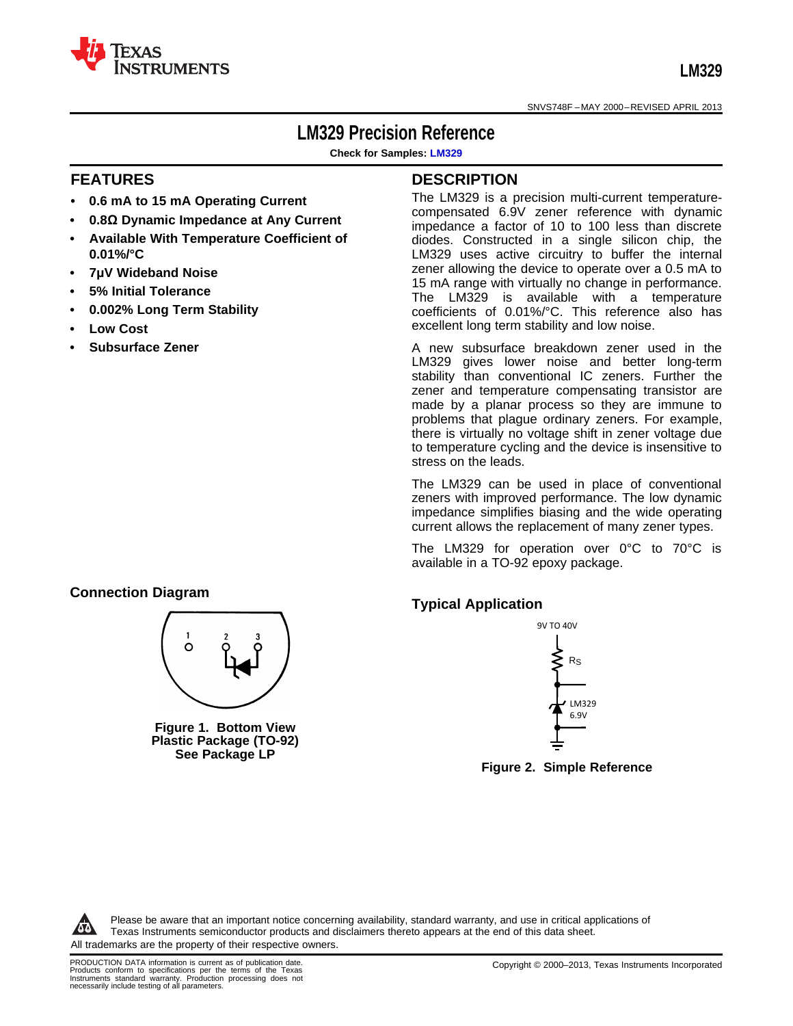

## **LM329 Precision Reference**

**Check for Samples: LM329**

- 
- 
- 
- 
- 
- 
- 
- 

### **Connection Diagram**



**Figure 1. Bottom View Plastic Package (TO-92) See Package LP**

### **<sup>1</sup>FEATURES DESCRIPTION**

The LM329 is a precision multi-current temperature- **<sup>2</sup>• 0.6 mA to 15 mA Operating Current** compensated 6.9V zener reference with dynamic **• 0.8<sup>Ω</sup> Dynamic Impedance at Any Current** impedance <sup>a</sup> factor of <sup>10</sup> to <sup>100</sup> less than discrete **• Available With Temperature Coefficient of** diodes. Constructed in a single silicon chip, the LM329 uses active circuitry to buffer the internal zener allowing the device to operate over a 0.5 mA to **• 7μV Wideband Noise** 15 mA range with virtually no change in performance. **• 5% Initial Tolerance** The LM329 is available with <sup>a</sup> temperature **• 0.002% Long Term Stability** coefficients of 0.01%/°C. This reference also has excellent long term stability and low noise. **• Low Cost**

**•• Subsurface Zener** *A* new subsurface breakdown zener used in the LM329 gives lower noise and better long-term stability than conventional IC zeners. Further the zener and temperature compensating transistor are made by a planar process so they are immune to problems that plague ordinary zeners. For example, there is virtually no voltage shift in zener voltage due to temperature cycling and the device is insensitive to stress on the leads.

> The LM329 can be used in place of conventional zeners with improved performance. The low dynamic impedance simplifies biasing and the wide operating current allows the replacement of many zener types.

> The LM329 for operation over 0°C to 70°C is available in a TO-92 epoxy package.

#### **Typical Application**



**Figure 2. Simple Reference**



Please be aware that an important notice concerning availability, standard warranty, and use in critical applications of Texas Instruments semiconductor products and disclaimers thereto appears at the end of this data sheet. All trademarks are the property of their respective owners.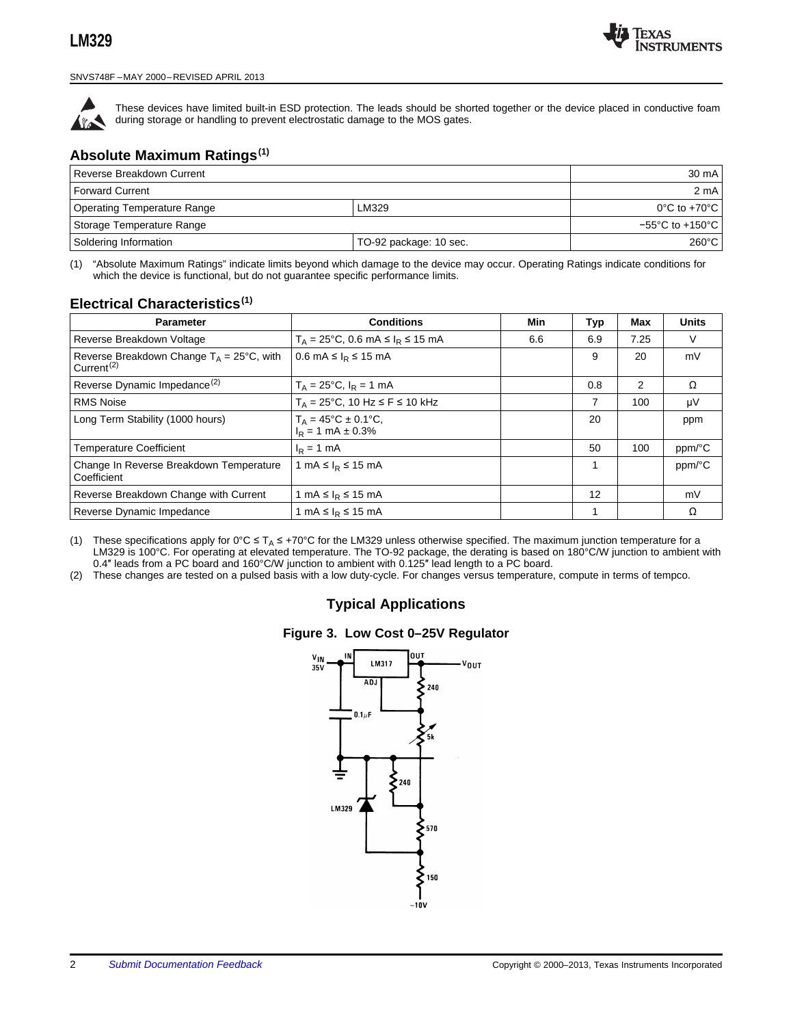



These devices have limited built-in ESD protection. The leads should be shorted together or the device placed in conductive foam during storage or handling to prevent electrostatic damage to the MOS gates.

#### **Absolute Maximum Ratings(1)**

| Reverse Breakdown Current   | 30 mA                               |                 |
|-----------------------------|-------------------------------------|-----------------|
| <b>Forward Current</b>      |                                     | 2 mA            |
| Operating Temperature Range | $0^{\circ}$ C to +70 $^{\circ}$ C   |                 |
| Storage Temperature Range   | $-55^{\circ}$ C to $+150^{\circ}$ C |                 |
| Soldering Information       | TO-92 package: 10 sec.              | $260^{\circ}$ C |

(1) "Absolute Maximum Ratings" indicate limits beyond which damage to the device may occur. Operating Ratings indicate conditions for which the device is functional, but do not guarantee specific performance limits.

#### **Electrical Characteristics(1)**

| <b>Parameter</b>                                                              | <b>Conditions</b>                                              | Min | Typ | Max  | <b>Units</b> |
|-------------------------------------------------------------------------------|----------------------------------------------------------------|-----|-----|------|--------------|
| Reverse Breakdown Voltage                                                     | $T_A = 25^{\circ}C$ , 0.6 mA $\leq I_R \leq 15$ mA             | 6.6 | 6.9 | 7.25 | V            |
| Reverse Breakdown Change $T_A = 25^{\circ}$ C, with<br>Current <sup>(2)</sup> | $0.6$ mA $\leq l_R \leq 15$ mA                                 |     | 9   | 20   | mV           |
| Reverse Dynamic Impedance <sup>(2)</sup>                                      | $T_A = 25^{\circ}C$ , $I_R = 1$ mA                             |     | 0.8 | 2    | Ω            |
| <b>RMS Noise</b>                                                              | $T_{\text{A}}$ = 25°C, 10 Hz $\leq$ F $\leq$ 10 kHz            |     | 7   | 100  | μV           |
| Long Term Stability (1000 hours)                                              | $T_A = 45^{\circ}C \pm 0.1^{\circ}C$ ,<br>$IR = 1 mA \pm 0.3%$ |     | 20  |      | ppm          |
| <b>Temperature Coefficient</b>                                                | $I_R = 1$ mA                                                   |     | 50  | 100  | ppm/°C       |
| Change In Reverse Breakdown Temperature<br>Coefficient                        | 1 mA $\leq$ $I_R \leq$ 15 mA                                   |     |     |      | ppm/°C       |
| Reverse Breakdown Change with Current                                         | 1 mA ≤ $I_R$ ≤ 15 mA                                           |     | 12  |      | mV           |
| Reverse Dynamic Impedance                                                     | 1 mA $\leq l_R \leq 15$ mA                                     |     |     |      | Ω            |

(1) These specifications apply for  $0^{\circ}C \le T_A \le +70^{\circ}C$  for the LM329 unless otherwise specified. The maximum junction temperature for a LM329 is 100°C. For operating at elevated temperature. The TO-92 package, the derating is based on 180°C/W junction to ambient with 0.4″ leads from a PC board and 160°C/W junction to ambient with 0.125″ lead length to a PC board.

(2) These changes are tested on a pulsed basis with a low duty-cycle. For changes versus temperature, compute in terms of tempco.

### **Typical Applications**

#### **Figure 3. Low Cost 0–25V Regulator**

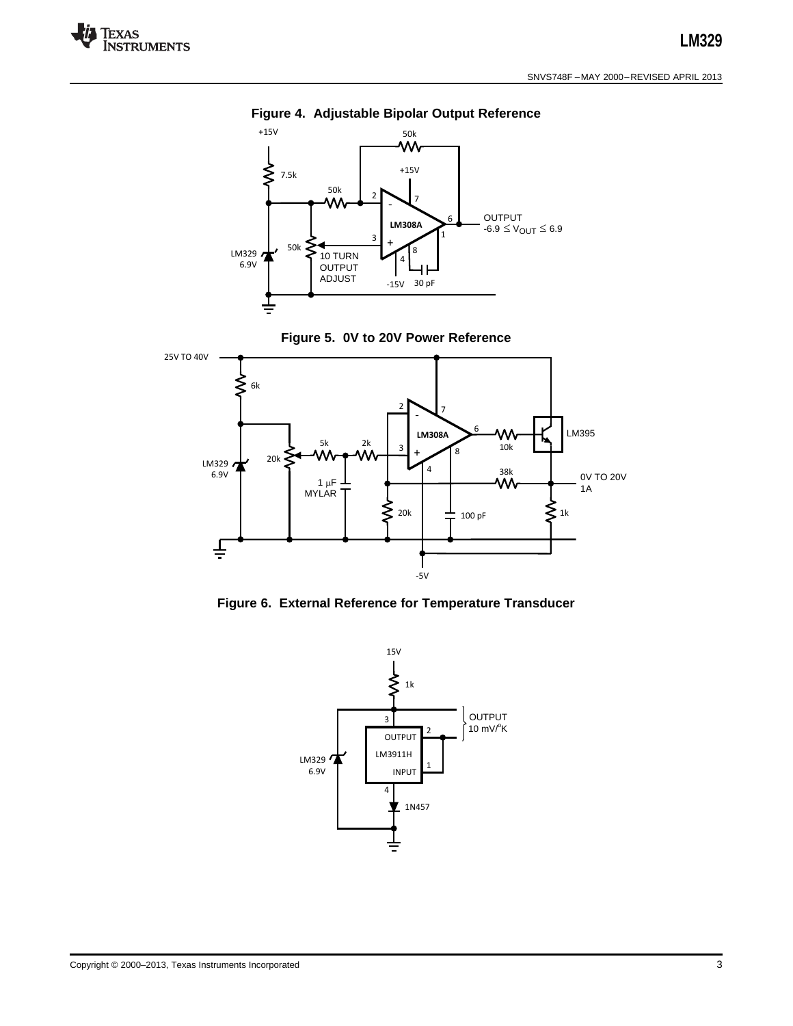







**Figure 6. External Reference for Temperature Transducer**

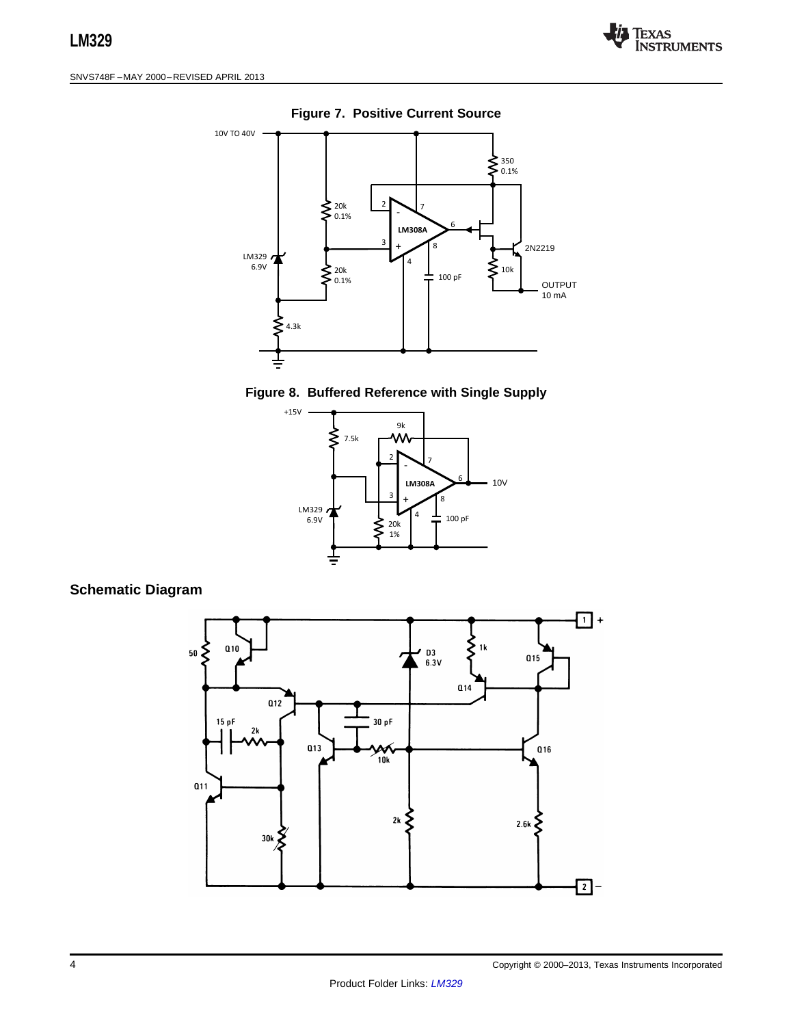

**Figure 7. Positive Current Source**







### **Schematic Diagram**

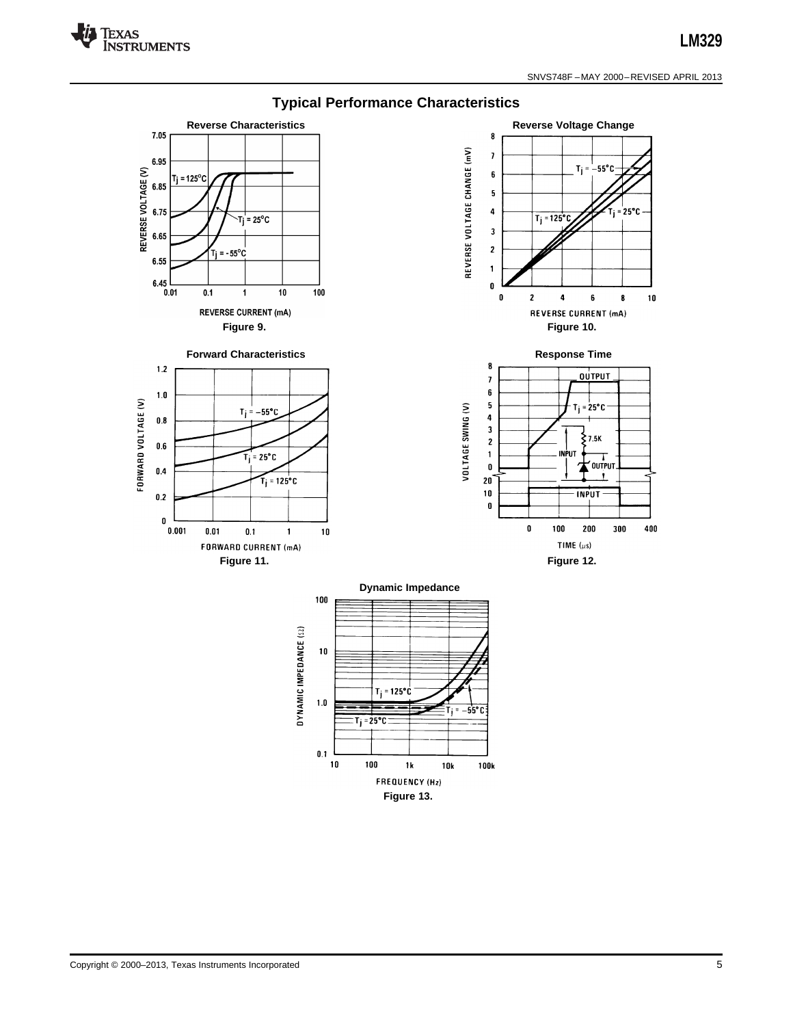

**Figure 13.**

FREQUENCY (Hz)

 $1<sub>k</sub>$ 

10k

 $100k$ 

100

 $0.1$  $10$ 

### **Typical Performance Characteristics**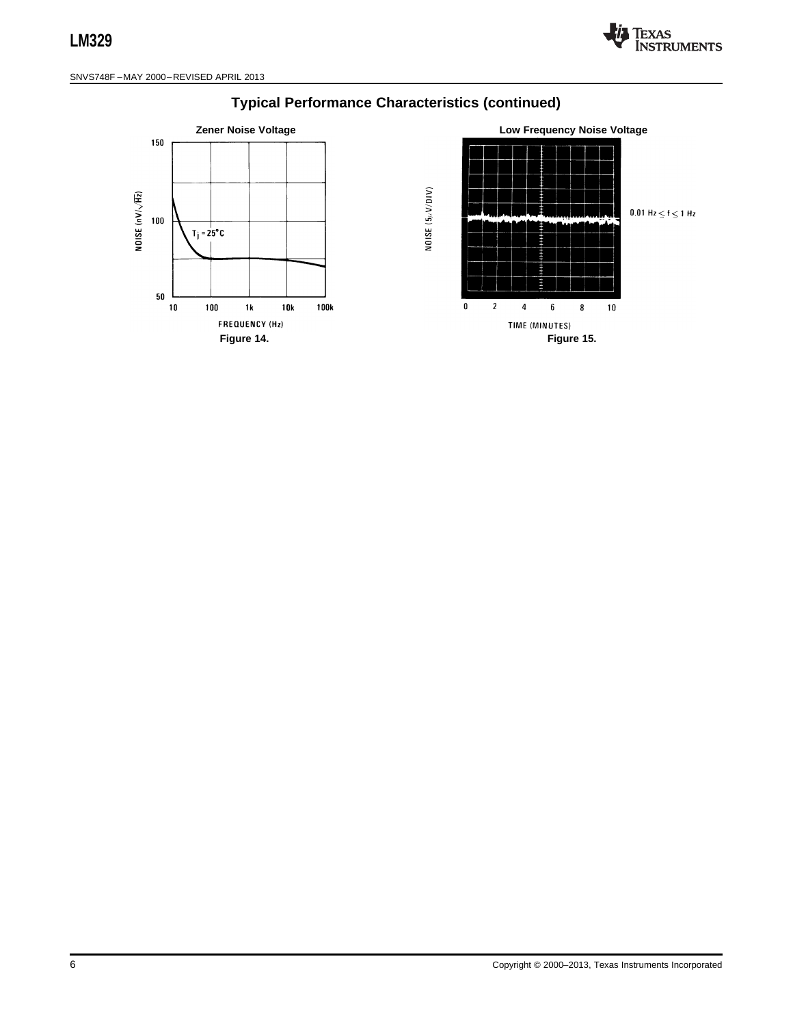



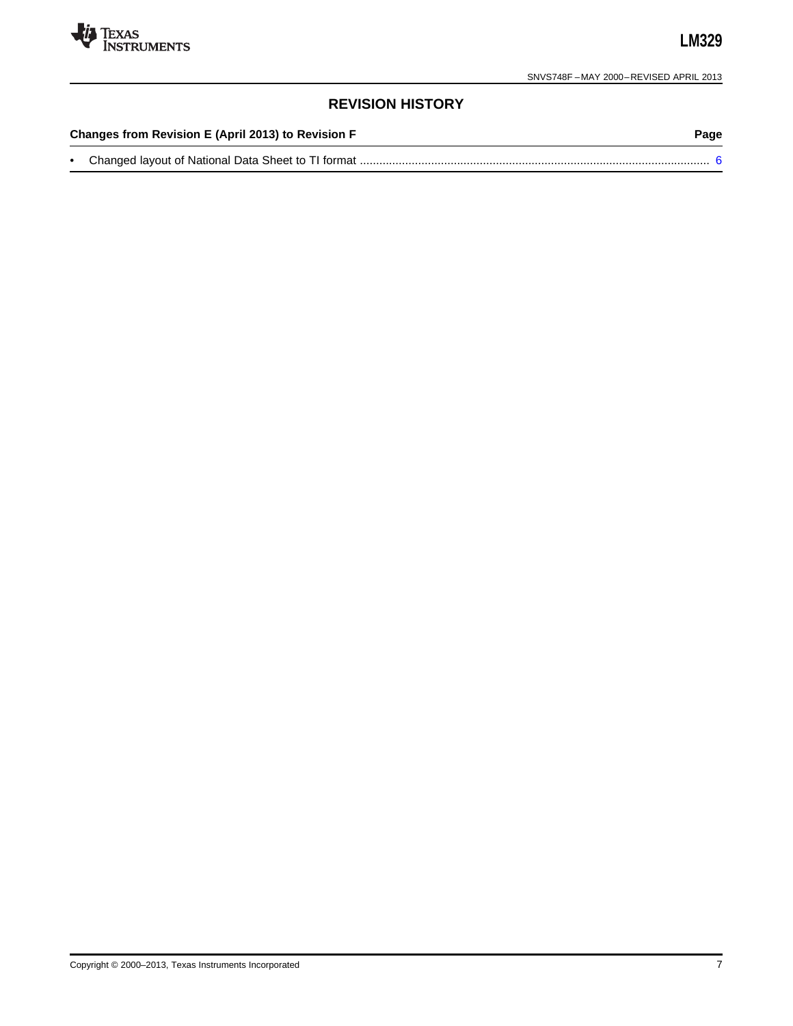| Changes from Revision E (April 2013) to Revision F | Page |
|----------------------------------------------------|------|
|                                                    |      |

| Changed layout of National Data Sheet to TI format. |  |
|-----------------------------------------------------|--|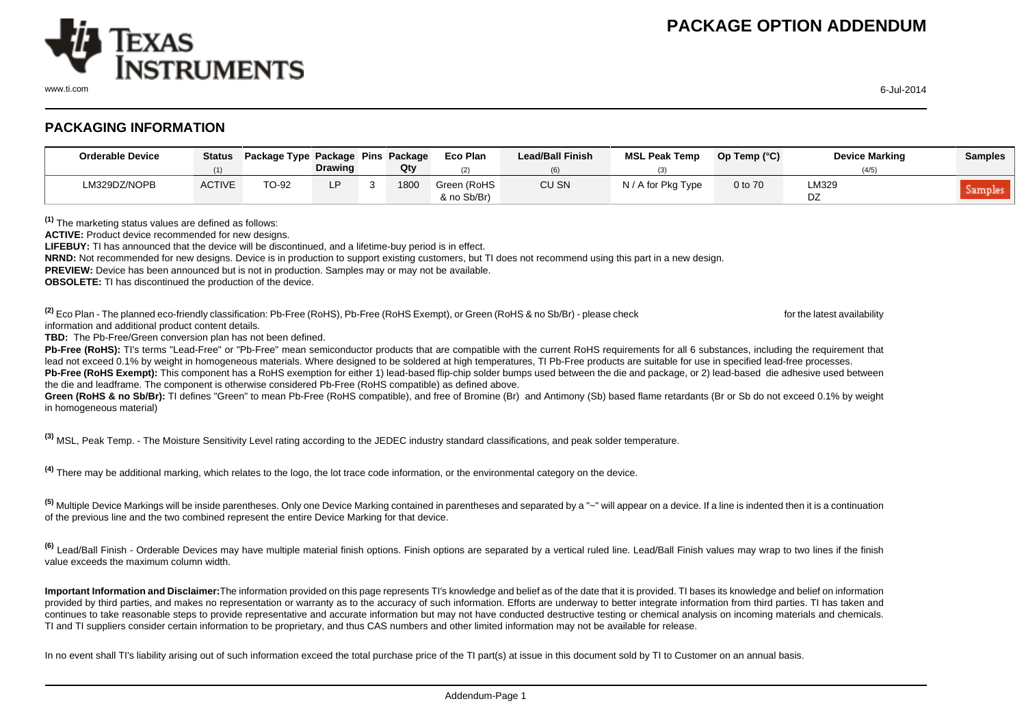

www.ti.com 6-Jul-2014

### **PACKAGING INFORMATION**

| <b>Orderable Device</b> | <b>Status</b> | Package Type Package Pins Package |                |      | Eco Plan                   | <b>Lead/Ball Finish</b> | <b>MSL Peak Temp</b> | Op Temp $(^{\circ}C)$ | <b>Device Marking</b> | <b>Samples</b> |
|-------------------------|---------------|-----------------------------------|----------------|------|----------------------------|-------------------------|----------------------|-----------------------|-----------------------|----------------|
|                         |               |                                   | <b>Drawing</b> | Qty  |                            |                         |                      |                       | (4/5)                 |                |
| LM329DZ/NOPB            | <b>ACTIVE</b> | TO-92                             |                | 1800 | Green (RoHS<br>& no Sb/Br) | CU SN                   | N / A for Pkg Type   | 0 to 70               | LM329<br>DZ           | Samples        |

**(1)** The marketing status values are defined as follows:

**ACTIVE:** Product device recommended for new designs.

**LIFEBUY:** TI has announced that the device will be discontinued, and a lifetime-buy period is in effect.

**NRND:** Not recommended for new designs. Device is in production to support existing customers, but TI does not recommend using this part in a new design.

**PREVIEW:** Device has been announced but is not in production. Samples may or may not be available.

**OBSOLETE:** TI has discontinued the production of the device.

**(2)** Eco Plan - The planned eco-friendly classification: Pb-Free (RoHS), Pb-Free (RoHS Exempt), or Green (RoHS & no Sb/Br) - please check for the latest availability information and additional product content details.

**TBD:** The Pb-Free/Green conversion plan has not been defined.

Pb-Free (RoHS): TI's terms "Lead-Free" or "Pb-Free" mean semiconductor products that are compatible with the current RoHS requirements for all 6 substances, including the requirement that lead not exceed 0.1% by weight in homogeneous materials. Where designed to be soldered at high temperatures, TI Pb-Free products are suitable for use in specified lead-free processes. **Pb-Free (RoHS Exempt):** This component has a RoHS exemption for either 1) lead-based flip-chip solder bumps used between the die and package, or 2) lead-based die adhesive used between the die and leadframe. The component is otherwise considered Pb-Free (RoHS compatible) as defined above.

Green (RoHS & no Sb/Br): TI defines "Green" to mean Pb-Free (RoHS compatible), and free of Bromine (Br) and Antimony (Sb) based flame retardants (Br or Sb do not exceed 0.1% by weight in homogeneous material)

**(3)** MSL, Peak Temp. - The Moisture Sensitivity Level rating according to the JEDEC industry standard classifications, and peak solder temperature.

**(4)** There may be additional marking, which relates to the logo, the lot trace code information, or the environmental category on the device.

**(5)** Multiple Device Markings will be inside parentheses. Only one Device Marking contained in parentheses and separated by a "~" will appear on a device. If a line is indented then it is a continuation of the previous line and the two combined represent the entire Device Marking for that device.

<sup>(6)</sup> Lead/Ball Finish - Orderable Devices may have multiple material finish options. Finish options are separated by a vertical ruled line. Lead/Ball Finish values may wrap to two lines if the finish value exceeds the maximum column width.

**Important Information and Disclaimer:**The information provided on this page represents TI's knowledge and belief as of the date that it is provided. TI bases its knowledge and belief on information provided by third parties, and makes no representation or warranty as to the accuracy of such information. Efforts are underway to better integrate information from third parties. TI has taken and continues to take reasonable steps to provide representative and accurate information but may not have conducted destructive testing or chemical analysis on incoming materials and chemicals. TI and TI suppliers consider certain information to be proprietary, and thus CAS numbers and other limited information may not be available for release.

In no event shall TI's liability arising out of such information exceed the total purchase price of the TI part(s) at issue in this document sold by TI to Customer on an annual basis.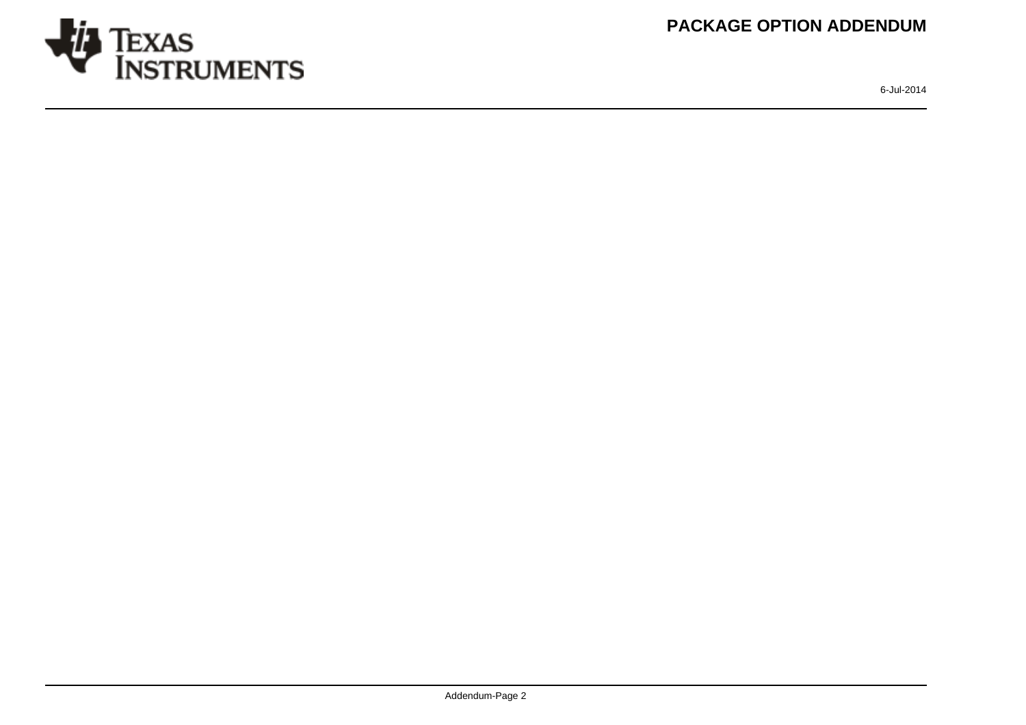

**PACKAGE OPTION ADDENDUM**

6-Jul-2014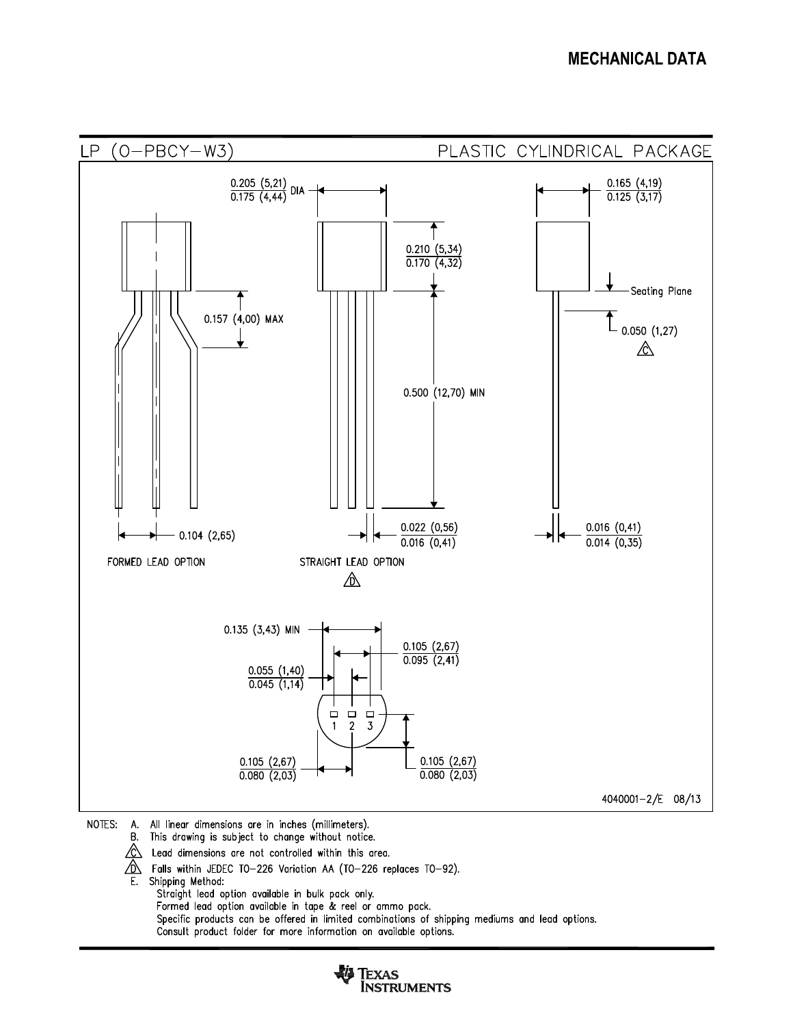

- B. This drawing is subject to change without notice.
- $\Diamond$  Lead dimensions are not controlled within this area.
- ⚠ Falls within JEDEC TO-226 Variation AA (TO-226 replaces TO-92).
- Shipping Method: Ε. Straight lead option available in bulk pack only. Formed lead option available in tape & reel or ammo pack. Specific products can be offered in limited combinations of shipping mediums and lead options. Consult product folder for more information on available options.

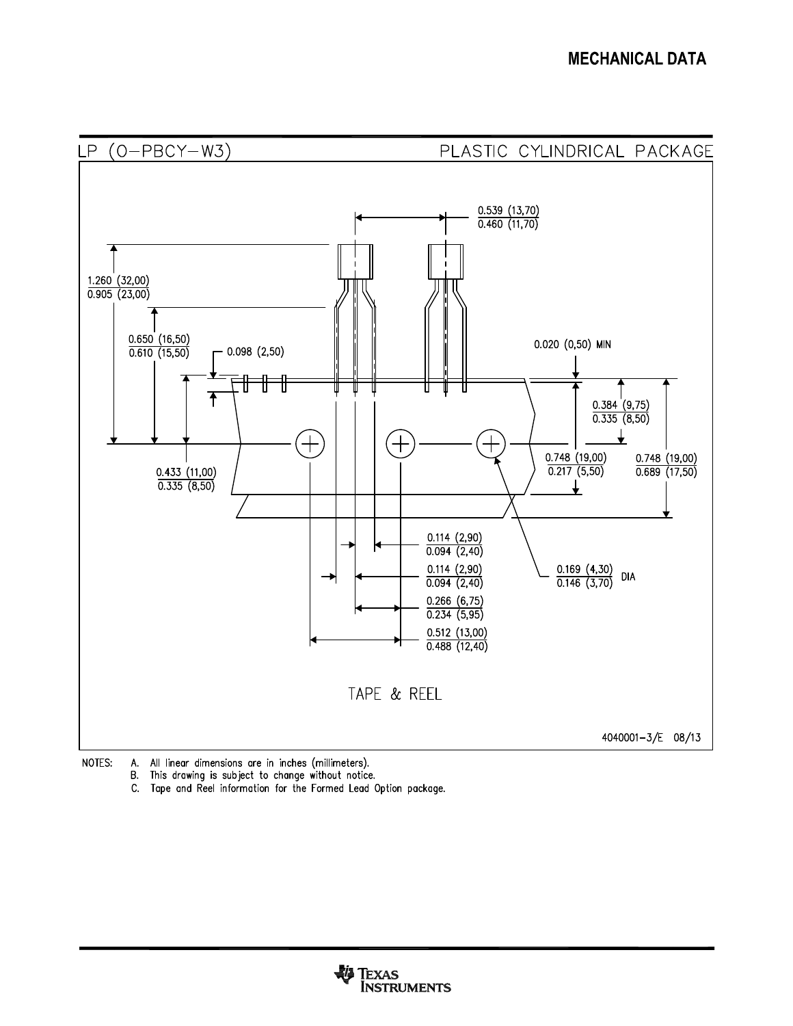## **MECHANICAL DATA**



- B. This drawing is subject to change without notice.
- C. Tape and Reel information for the Formed Lead Option package.

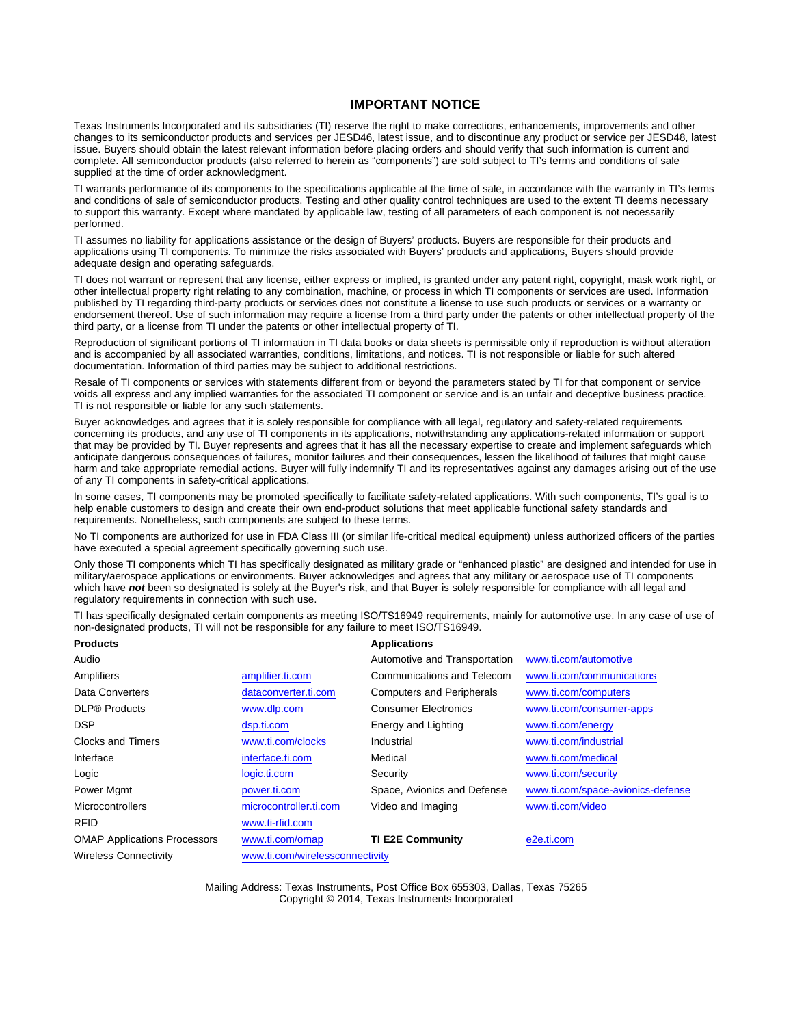#### **IMPORTANT NOTICE**

Texas Instruments Incorporated and its subsidiaries (TI) reserve the right to make corrections, enhancements, improvements and other changes to its semiconductor products and services per JESD46, latest issue, and to discontinue any product or service per JESD48, latest issue. Buyers should obtain the latest relevant information before placing orders and should verify that such information is current and complete. All semiconductor products (also referred to herein as "components") are sold subject to TI's terms and conditions of sale supplied at the time of order acknowledgment.

TI warrants performance of its components to the specifications applicable at the time of sale, in accordance with the warranty in TI's terms and conditions of sale of semiconductor products. Testing and other quality control techniques are used to the extent TI deems necessary to support this warranty. Except where mandated by applicable law, testing of all parameters of each component is not necessarily performed.

TI assumes no liability for applications assistance or the design of Buyers' products. Buyers are responsible for their products and applications using TI components. To minimize the risks associated with Buyers' products and applications, Buyers should provide adequate design and operating safeguards.

TI does not warrant or represent that any license, either express or implied, is granted under any patent right, copyright, mask work right, or other intellectual property right relating to any combination, machine, or process in which TI components or services are used. Information published by TI regarding third-party products or services does not constitute a license to use such products or services or a warranty or endorsement thereof. Use of such information may require a license from a third party under the patents or other intellectual property of the third party, or a license from TI under the patents or other intellectual property of TI.

Reproduction of significant portions of TI information in TI data books or data sheets is permissible only if reproduction is without alteration and is accompanied by all associated warranties, conditions, limitations, and notices. TI is not responsible or liable for such altered documentation. Information of third parties may be subject to additional restrictions.

Resale of TI components or services with statements different from or beyond the parameters stated by TI for that component or service voids all express and any implied warranties for the associated TI component or service and is an unfair and deceptive business practice. TI is not responsible or liable for any such statements.

Buyer acknowledges and agrees that it is solely responsible for compliance with all legal, regulatory and safety-related requirements concerning its products, and any use of TI components in its applications, notwithstanding any applications-related information or support that may be provided by TI. Buyer represents and agrees that it has all the necessary expertise to create and implement safeguards which anticipate dangerous consequences of failures, monitor failures and their consequences, lessen the likelihood of failures that might cause harm and take appropriate remedial actions. Buyer will fully indemnify TI and its representatives against any damages arising out of the use of any TI components in safety-critical applications.

In some cases, TI components may be promoted specifically to facilitate safety-related applications. With such components, TI's goal is to help enable customers to design and create their own end-product solutions that meet applicable functional safety standards and requirements. Nonetheless, such components are subject to these terms.

No TI components are authorized for use in FDA Class III (or similar life-critical medical equipment) unless authorized officers of the parties have executed a special agreement specifically governing such use.

Only those TI components which TI has specifically designated as military grade or "enhanced plastic" are designed and intended for use in military/aerospace applications or environments. Buyer acknowledges and agrees that any military or aerospace use of TI components which have *not* been so designated is solely at the Buyer's risk, and that Buyer is solely responsible for compliance with all legal and regulatory requirements in connection with such use.

TI has specifically designated certain components as meeting ISO/TS16949 requirements, mainly for automotive use. In any case of use of non-designated products, TI will not be responsible for any failure to meet ISO/TS16949.

| <b>Products</b>                     |                                 | <b>Applications</b>              |                                   |
|-------------------------------------|---------------------------------|----------------------------------|-----------------------------------|
| Audio                               |                                 | Automotive and Transportation    | www.ti.com/automotive             |
| Amplifiers                          | amplifier.ti.com                | Communications and Telecom       | www.ti.com/communications         |
| Data Converters                     | dataconverter.ti.com            | <b>Computers and Peripherals</b> | www.ti.com/computers              |
| <b>DLP®</b> Products                | www.dlp.com                     | <b>Consumer Electronics</b>      | www.ti.com/consumer-apps          |
| <b>DSP</b>                          | dsp.ti.com                      | Energy and Lighting              | www.ti.com/energy                 |
| Clocks and Timers                   | www.ti.com/clocks               | Industrial                       | www.ti.com/industrial             |
| Interface                           | interface.ti.com                | Medical                          | www.ti.com/medical                |
| Logic                               | logic.ti.com                    | Security                         | www.ti.com/security               |
| Power Mgmt                          | power.ti.com                    | Space, Avionics and Defense      | www.ti.com/space-avionics-defense |
| <b>Microcontrollers</b>             | microcontroller.ti.com          | Video and Imaging                | www.ti.com/video                  |
| <b>RFID</b>                         | www.ti-rfid.com                 |                                  |                                   |
| <b>OMAP Applications Processors</b> | www.ti.com/omap                 | <b>TI E2E Community</b>          | e2e.ti.com                        |
| <b>Wireless Connectivity</b>        | www.ti.com/wirelessconnectivity |                                  |                                   |

Mailing Address: Texas Instruments, Post Office Box 655303, Dallas, Texas 75265 Copyright © 2014, Texas Instruments Incorporated